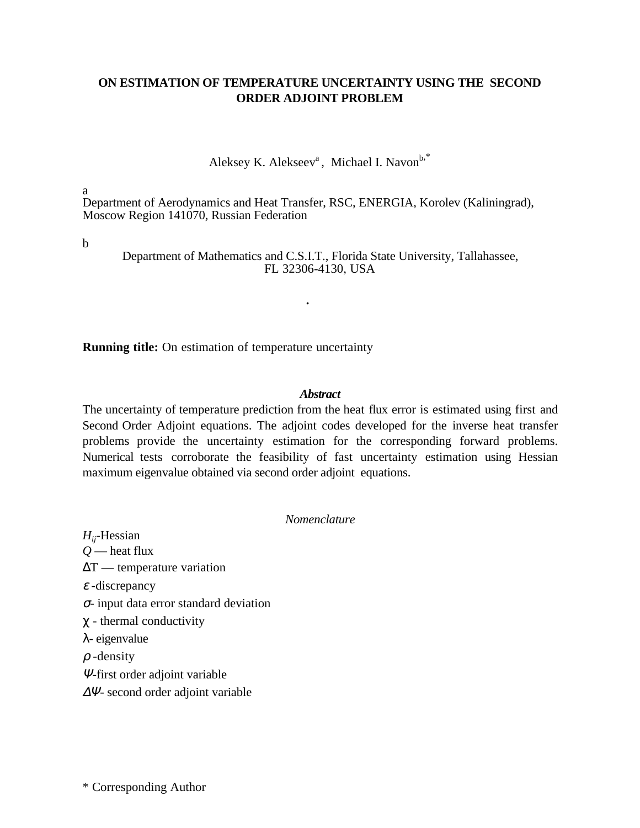# **ON ESTIMATION OF TEMPERATURE UNCERTAINTY USING THE SECOND ORDER ADJOINT PROBLEM**

Aleksey K. Alekseev<sup>a</sup>, Michael I. Navon<sup>b,\*</sup>

a

Department of Aerodynamics and Heat Transfer, RSC, ENERGIA, Korolev (Kaliningrad), Moscow Region 141070, Russian Federation

b

Department of Mathematics and C.S.I.T., Florida State University, Tallahassee, FL 32306-4130, USA

### **ÉÉ.**

**Running title:** On estimation of temperature uncertainty

#### *Abstract*

The uncertainty of temperature prediction from the heat flux error is estimated using first and Second Order Adjoint equations. The adjoint codes developed for the inverse heat transfer problems provide the uncertainty estimation for the corresponding forward problems. Numerical tests corroborate the feasibility of fast uncertainty estimation using Hessian maximum eigenvalue obtained via second order adjoint equations.

*Nomenclature*

*Hij*-Hessian *Q* — heat flux ∆T — temperature variation  $\varepsilon$ -discrepancy <sup>σ</sup>- input data error standard deviation  $\chi$  - thermal conductivity λ- eigenvalue  $\rho$  -density <sup>Ψ</sup>*-*first order adjoint variable

∆Ψ- second order adjoint variable

\* Corresponding Author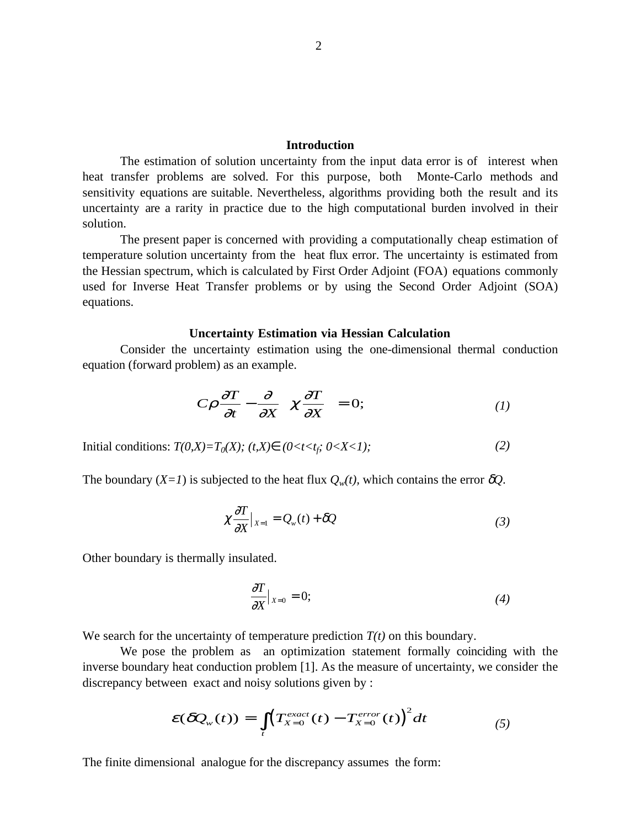## **Introduction**

The estimation of solution uncertainty from the input data error is of interest when heat transfer problems are solved. For this purpose, both Monte-Carlo methods and sensitivity equations are suitable. Nevertheless, algorithms providing both the result and its uncertainty are a rarity in practice due to the high computational burden involved in their solution.

The present paper is concerned with providing a computationally cheap estimation of temperature solution uncertainty from the heat flux error. The uncertainty is estimated from the Hessian spectrum, which is calculated by First Order Adjoint (FOA) equations commonly used for Inverse Heat Transfer problems or by using the Second Order Adjoint (SOA) equations.

#### **Uncertainty Estimation via Hessian Calculation**

Consider the uncertainty estimation using the one-dimensional thermal conduction equation (forward problem) as an example.

$$
C\rho \frac{\partial T}{\partial t} - \frac{\partial}{\partial x} \left( \chi \frac{\partial T}{\partial x} \right) = 0; \tag{1}
$$

*Initial conditions:*  $T(0,X) = T_0(X)$ *;*  $(t,X) \in (0 < t < t_f; 0 < X < 1)$ *;* (2)

The boundary  $(X=1)$  is subjected to the heat flux  $Q_w(t)$ , which contains the error  $\delta Q$ .

$$
\chi \frac{\partial T}{\partial X}\big|_{X=1} = Q_w(t) + \delta Q \tag{3}
$$

Other boundary is thermally insulated.

$$
\frac{\partial T}{\partial X}\big|_{X=0} = 0;\tag{4}
$$

We search for the uncertainty of temperature prediction  $T(t)$  on this boundary.

We pose the problem as an optimization statement formally coinciding with the inverse boundary heat conduction problem [1]. As the measure of uncertainty, we consider the discrepancy between exact and noisy solutions given by :

$$
\mathcal{E}(\delta Q_w(t)) = \int\limits_t \left( T_{X=0}^{exact}(t) - T_{X=0}^{error}(t) \right)^2 dt \tag{5}
$$

The finite dimensional analogue for the discrepancy assumes the form: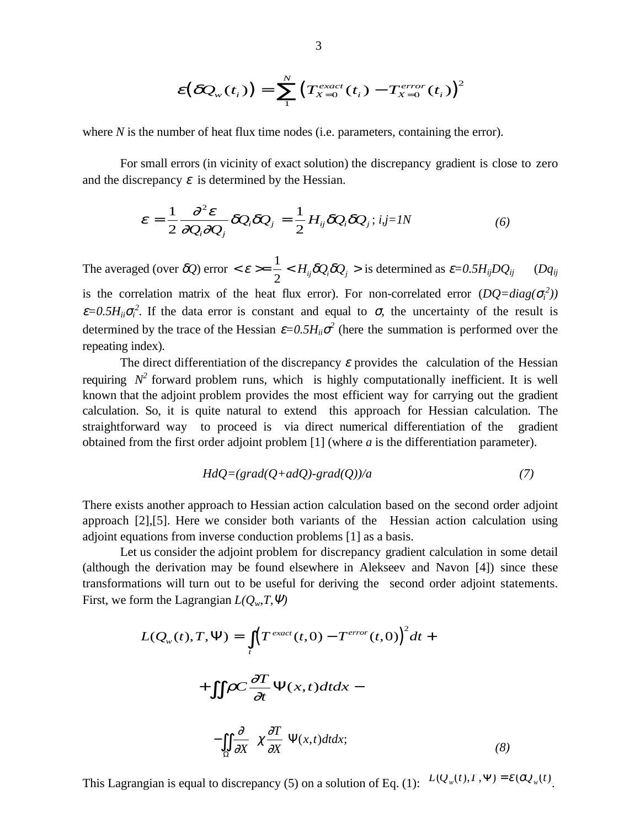$$
\varepsilon(\delta Q_{w}(t_i)) = \sum_{1}^{N} \left( T_{X=0}^{exact}(t_i) - T_{X=0}^{error}(t_i) \right)^2
$$

where *N* is the number of heat flux time nodes (i.e. parameters, containing the error).

For small errors (in vicinity of exact solution) the discrepancy gradient is close to zero and the discrepancy  $\varepsilon$  is determined by the Hessian.

$$
\boldsymbol{\varepsilon} = \frac{1}{2} \frac{\partial^2 \boldsymbol{\varepsilon}}{\partial Q_i \partial Q_j} \delta Q_i \delta Q_j = \frac{1}{2} H_{ij} \delta Q_i \delta Q_j; i, j = I \dot{\mathbb{B}} \tag{6}
$$

The averaged (over  $\delta Q$ ) error  $\langle \varepsilon \rangle = \frac{1}{2} \langle H_{ii} \delta Q_i \delta Q_i \rangle$  $\frac{1}{2}$  <  $H_{ij}\delta Q_i \delta Q_j$  > is determined as  $\varepsilon = 0.5H_{ij}DQ_{ij}$  (*Dq<sub>ij</sub>* is the correlation matrix of the heat flux error). For non-correlated error  $(DQ = diag(\sigma_i^2))$  $\varepsilon$ =0.5 $H_{ii}$  $\sigma_i^2$ . If the data error is constant and equal to  $\sigma$ , the uncertainty of the result is determined by the trace of the Hessian  $\varepsilon = 0.5H_{ii}\sigma^2$  (here the summation is performed over the repeating index)*.*

The direct differentiation of the discrepancy  $\varepsilon$  provides the calculation of the Hessian requiring  $N^2$  forward problem runs, which is highly computationally inefficient. It is well known that the adjoint problem provides the most efficient way for carrying out the gradient calculation. So, it is quite natural to extend this approach for Hessian calculation. The straightforward way to proceed is via direct numerical differentiation of the gradient obtained from the first order adjoint problem [1] (where *a* is the differentiation parameter).

$$
HdQ = (grad(Q + adQ) - grad(Q))/a \tag{7}
$$

There exists another approach to Hessian action calculation based on the second order adjoint approach [2],[5]. Here we consider both variants of the Hessian action calculation using adjoint equations from inverse conduction problems [1] as a basis.

Let us consider the adjoint problem for discrepancy gradient calculation in some detail (although the derivation may be found elsewhere in Alekseev and Navon [4]) since these transformations will turn out to be useful for deriving the second order adjoint statements. First, we form the Lagrangian  $L(Q_w, T, \Psi)$ 

$$
L(Q_w(t), T, \Psi) = \int_t \left( T^{exact}(t, 0) - T^{error}(t, 0) \right)^2 dt +
$$

$$
+ \iint_{\Omega} \rho C \frac{\partial T}{\partial t} \Psi(x, t) dt dx -
$$

$$
- \iint_{\Omega} \frac{\partial}{\partial x} \left( \chi \frac{\partial T}{\partial x} \right) \Psi(x, t) dt dx; \tag{8}
$$

This Lagrangian is equal to discrepancy (5) on a solution of Eq. (1):  $L(Q_w(t),T, \Psi) = \varepsilon (\partial Q_w(t))$ .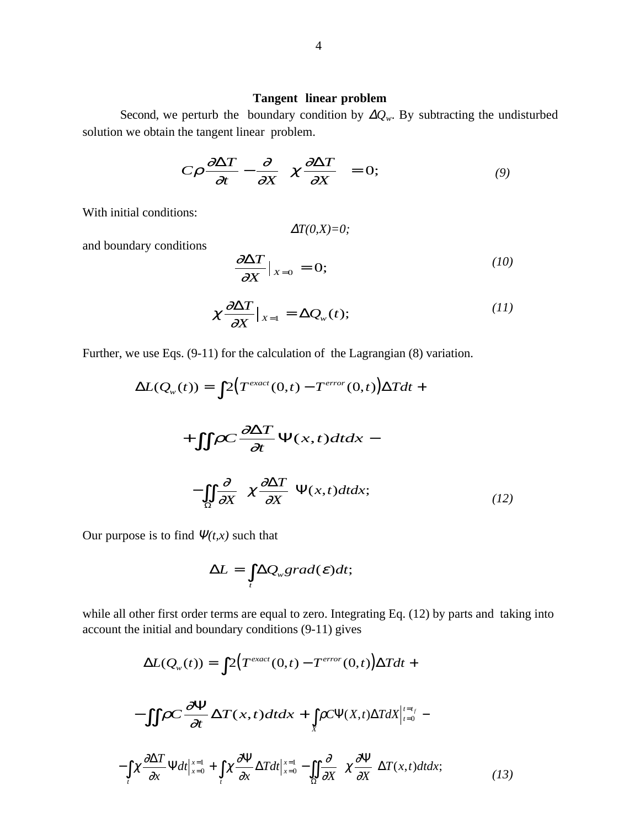### **Tangent linear problem**

Second, we perturb the boundary condition by  $\Delta Q_w$ . By subtracting the undisturbed solution we obtain the tangent linear problem.

$$
C\rho \frac{\partial \Delta T}{\partial t} - \frac{\partial}{\partial X} \left( \chi \frac{\partial \Delta T}{\partial X} \right) = 0; \tag{9}
$$

With initial conditions:

$$
\Delta T(0,X)=0;
$$

and boundary conditions

$$
\frac{\partial \Delta T}{\partial X}\big|_{X=0} = 0; \tag{10}
$$

$$
\chi \frac{\partial \Delta T}{\partial X}\big|_{X=1} = \Delta Q_{w}(t); \qquad (11)
$$

Further, we use Eqs. (9-11) for the calculation of the Lagrangian (8) variation.

$$
\Delta L(Q_w(t)) = \int 2\Big(T^{exact}(0,t) - T^{error}(0,t)\Big)\Delta Tdt +
$$

$$
+ \int \int \rho C \frac{\partial \Delta T}{\partial t} \Psi(x,t) dt dx -
$$

$$
- \int \int \frac{\partial}{\partial X} \Big(\chi \frac{\partial \Delta T}{\partial X}\Big) \Psi(x,t) dt dx; \tag{12}
$$

Our purpose is to find  $\Psi(t,x)$  such that

$$
\Delta L = \int_{t} \Delta Q_{w} grad(\boldsymbol{\varepsilon}) dt;
$$

while all other first order terms are equal to zero. Integrating Eq. (12) by parts and taking into account the initial and boundary conditions (9-11) gives

$$
\Delta L(Q_w(t)) = \int 2\Big(T^{exact}(0,t) - T^{error}(0,t)\Big)\Delta Tdt +
$$

$$
-\int \int \rho C \frac{\partial \Psi}{\partial t} \Delta T(x,t) dt dx + \int \int \rho C \Psi(X,t) \Delta T dX \Big|_{t=0}^{t=t_f} -
$$

$$
-\int \int \int \frac{\partial \Delta T}{\partial x} \Psi dt \Big|_{x=0}^{x=1} + \int \int \int \frac{\partial \Psi}{\partial x} \Delta T dt \Big|_{x=0}^{x=1} - \int \int \int \frac{\partial \Psi}{\partial x} \Big(\chi \frac{\partial \Psi}{\partial x}\Big) \Delta T(x,t) dt dx; \tag{13}
$$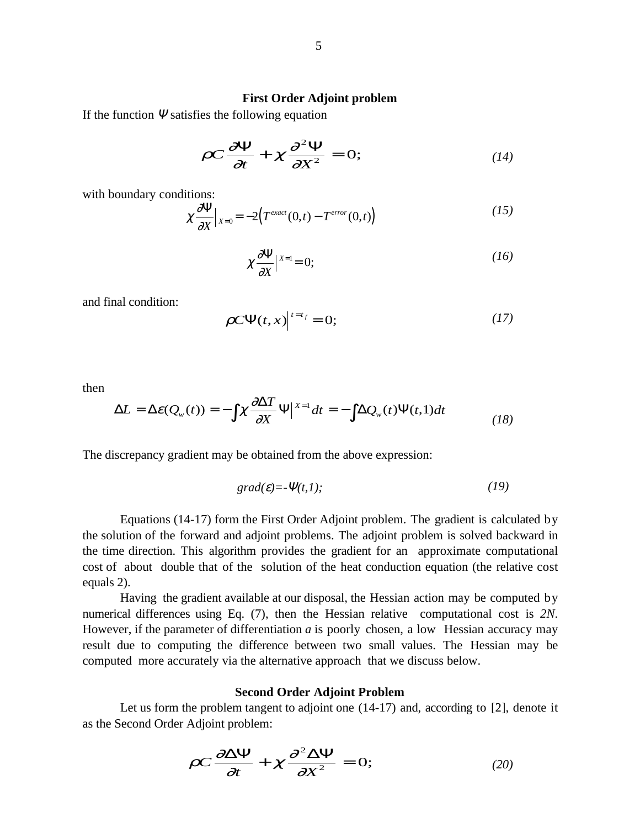### **First Order Adjoint problem**

If the function  $\Psi$  satisfies the following equation

$$
\rho C \frac{\partial \Psi}{\partial t} + \chi \frac{\partial^2 \Psi}{\partial X^2} = 0; \qquad (14)
$$

with boundary conditions:

$$
\chi \frac{\partial \Psi}{\partial X}\Big|_{X=0} = -2\big(T^{exact}(0,t) - T^{error}(0,t)\big) \tag{15}
$$

$$
\chi \frac{\partial \Psi}{\partial X} \Big|_{X=1} = 0; \tag{16}
$$

and final condition:

$$
\rho C \Psi(t, x) \Big|_{t=t_f} = 0; \tag{17}
$$

then

$$
\Delta L = \Delta \varepsilon(Q_w(t)) = -\int \chi \frac{\partial \Delta T}{\partial X} \Psi \Big|_{X=1} dt = -\int \Delta Q_w(t) \Psi(t,1) dt \tag{18}
$$

The discrepancy gradient may be obtained from the above expression:

$$
grad(\varepsilon) = -\Psi(t, 1); \tag{19}
$$

Equations (14-17) form the First Order Adjoint problem. The gradient is calculated by the solution of the forward and adjoint problems. The adjoint problem is solved backward in the time direction. This algorithm provides the gradient for an approximate computational cost of about double that of the solution of the heat conduction equation (the relative cost equals 2).

Having the gradient available at our disposal, the Hessian action may be computed by numerical differences using Eq. (7), then the Hessian relative computational cost is *2N*. However, if the parameter of differentiation *a* is poorly chosen, a low Hessian accuracy may result due to computing the difference between two small values. The Hessian may be computed more accurately via the alternative approach that we discuss below.

### **Second Order Adjoint Problem**

Let us form the problem tangent to adjoint one  $(14-17)$  and, according to [2], denote it as the Second Order Adjoint problem:

$$
\rho C \frac{\partial \Delta \Psi}{\partial t} + \chi \frac{\partial^2 \Delta \Psi}{\partial X^2} = 0; \qquad (20)
$$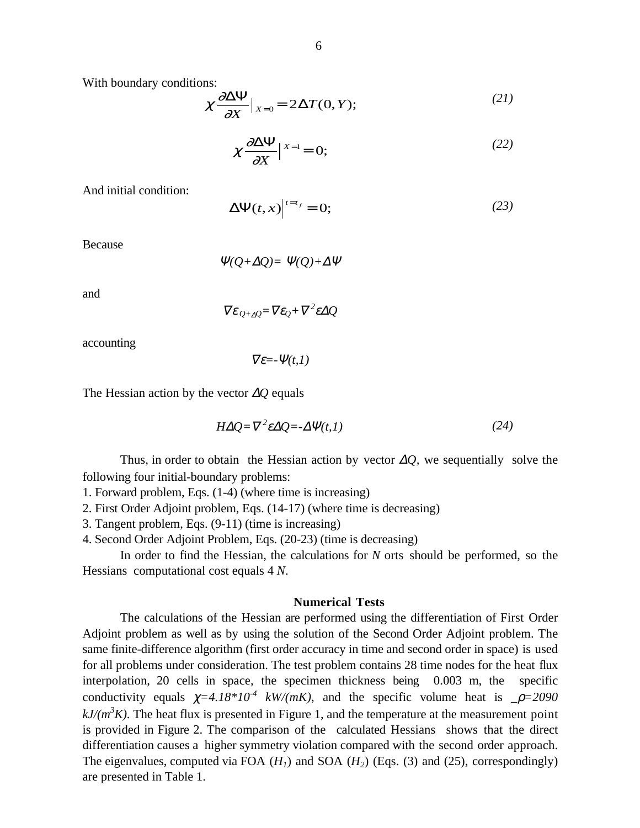With boundary conditions:

$$
\chi \frac{\partial \Delta \Psi}{\partial X}\big|_{X=0} = 2\Delta T(0, Y); \tag{21}
$$

$$
\chi \frac{\partial \Delta \Psi}{\partial X} \Big|_{X=1} = 0; \tag{22}
$$

And initial condition:

$$
\Delta \Psi(t, x)\Big|^{t=t_f} = 0;\tag{23}
$$

Because

$$
\Psi(Q + \Delta Q) = \Psi(Q) + \Delta \Psi
$$

and

$$
\nabla \varepsilon_{Q+\Delta Q} = \nabla \varepsilon_Q + \nabla^2 \varepsilon \Delta Q
$$

accounting

 $\nabla \varepsilon = -\Psi(t,1)$ 

The Hessian action by the vector ∆*Q* equals

$$
H\Delta Q = \nabla^2 \varepsilon \Delta Q = -\Delta \Psi(t,1) \tag{24}
$$

Thus, in order to obtain the Hessian action by vector ∆*Q,* we sequentially solve the following four initial-boundary problems:

1. Forward problem, Eqs. (1-4) (where time is increasing)

2. First Order Adjoint problem, Eqs. (14-17) (where time is decreasing)

- 3. Tangent problem, Eqs. (9-11) (time is increasing)
- 4. Second Order Adjoint Problem, Eqs. (20-23) (time is decreasing)

In order to find the Hessian, the calculations for *N* orts should be performed, so the Hessian<sup> $\ddot{\mathbf{Q}}$  computational cost equals 4*N*.</sup>

#### **Numerical Tests**

The calculations of the Hessian are performed using the differentiation of First Order Adjoint problem as well as by using the solution of the Second Order Adjoint problem. The same finite-difference algorithm (first order accuracy in time and second order in space) is used for all problems under consideration. The test problem contains 28 time nodes for the heat flux interpolation, 20 cells in space, the specimen thickness being 0.003 m, the specific conductivity equals  $\chi = 4.18 \times 10^{-4}$  *kW/(mK)*, and the specific volume heat is  $\rho = 2090$  $kJ/(m^3K)$ . The heat flux is presented in Figure 1, and the temperature at the measurement point is provided in Figure 2. The comparison of the calculated Hessians shows that the direct differentiation causes a higher symmetry violation compared with the second order approach. The eigenvalues, computed via FOA  $(H<sub>1</sub>)$  and SOA  $(H<sub>2</sub>)$  (Eqs. (3) and (25), correspondingly) are presented in Table 1.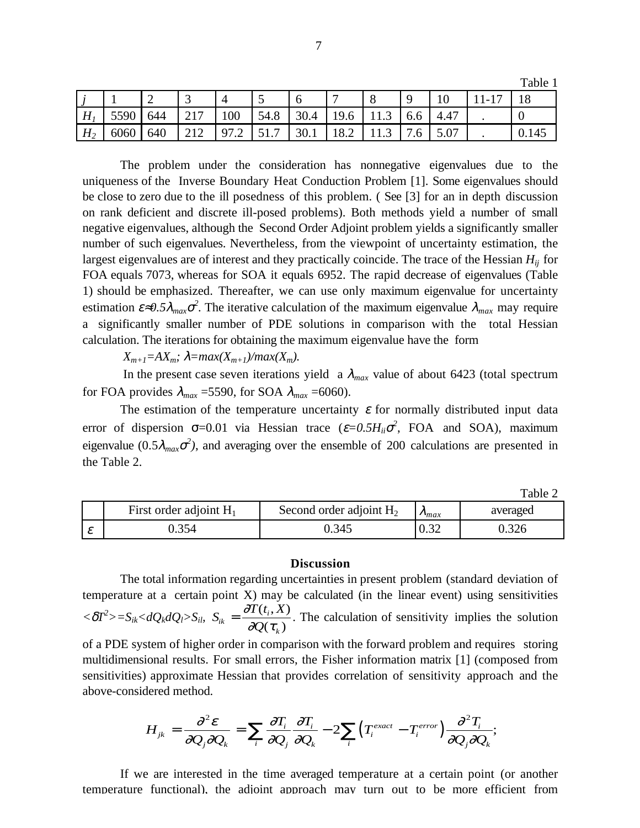|                |      |     |      |                                  |                           |      |                |      |          |      |         | Table J |
|----------------|------|-----|------|----------------------------------|---------------------------|------|----------------|------|----------|------|---------|---------|
|                |      | ∽   | ັ    |                                  | ັ                         | O    | $\overline{ }$ | Õ    | <u>u</u> |      | $1 - 1$ | 18      |
| H              | 5590 | 644 |      | 100                              | 54.8                      | 30.4 | 19.6           | 11.J | 0.6      | 4.47 |         |         |
| H <sub>2</sub> | 6060 | 640 | 21 Z | Q <sub>7</sub><br>$\cdot$ $\sim$ | $\epsilon$ 1<br>−<br>J1.1 | 30.1 | 18.2           | 11.J | 7.6      | 5.07 | -       | 0.145   |

The problem under the consideration has nonnegative eigenvalues due to the uniqueness of the Inverse Boundary Heat Conduction Problem [1]. Some eigenvalues should be close to zero due to the ill posedness of this problem. ( See [3] for an in depth discussion on rank deficient and discrete ill-posed problems). Both methods yield a number of small negative eigenvalues, although the Second Order Adjoint problem yields a significantly smaller number of such eigenvalues. Nevertheless, from the viewpoint of uncertainty estimation, the largest eigenvalues are of interest and they practically coincide. The trace of the Hessian *Hij* for FOA equals 7073, whereas for SOA it equals 6952. The rapid decrease of eigenvalues (Table 1) should be emphasized. Thereafter, we can use only maximum eigenvalue for uncertainty estimation  $\varepsilon \approx 0.5 \lambda_{max} \sigma^2$ . The iterative calculation of the maximum eigenvalue  $\lambda_{max}$  may require a significantly smaller number of PDE solutions in comparison with the total Hessian calculation. The iterations for obtaining the maximum eigenvalue have the form

 $X_{m+1} = AX_m$ ;  $\lambda = max(X_{m+1})/max(X_m)$ .

In the present case seven iterations yield a  $\lambda_{max}$  value of about 6423 (total spectrum for FOA provides  $\lambda_{max}$  =5590, for SOA  $\lambda_{max}$  =6060).

The estimation of the temperature uncertainty  $\varepsilon$  for normally distributed input data error of dispersion  $\sigma$ =0.01 via Hessian trace ( $\varepsilon$ =0.5H<sub>*ii*</sub> $\sigma$ <sup>2</sup>, FOA and SOA), maximum eigenvalue (0.5 $\lambda_{max} \sigma^2$ ), and averaging over the ensemble of 200 calculations are presented in the Table 2.

Table 2

 $T<sub>1</sub>$  1 1 1 1

| First order adjoint $H_1$ | Second order adjoint $H_2$ | $\nu_{max}$ | averaged |
|---------------------------|----------------------------|-------------|----------|
| ۔ 354،                    | 0.345                      | 0.32        | ).326    |

### **Discussion**

The total information regarding uncertainties in present problem (standard deviation of temperature at a certain point X) may be calculated (in the linear event) using sensitivities  $< \delta T^2 \gt 0 \le S_{ik} < dQ_k dQ_l > S_{ik}$   $S_{ik} = \frac{\partial T(t_i, X)}{\partial Q_l}$  $\dot{Q}_{ik} = \frac{\partial I(t_i)}{\partial Q(t_i)}$ *k*  $=\frac{\partial}{\partial x}$  $\partial O$ (  $\tau$  $(t_i, X)$  $(\tau_{k})$ . The calculation of sensitivity implies the solution of a PDE system of higher order in comparison with the forward problem and requires storing multidimensional results. For small errors, the Fisher information matrix [1] (composed from sensitivities) approximate Hessian that provides correlation of sensitivity approach and the above-considered method.

$$
H_{jk} = \frac{\partial^2 \varepsilon}{\partial Q_j \partial Q_k} = \sum_i \frac{\partial T_i}{\partial Q_j} \frac{\partial T_i}{\partial Q_k} - 2 \sum_i (T_i^{exact} - T_i^{error}) \frac{\partial^2 T_i}{\partial Q_j \partial Q_k};
$$

If we are interested in the time averaged temperature at a certain point (or another temperature functional), the adjoint approach may turn out to be more efficient from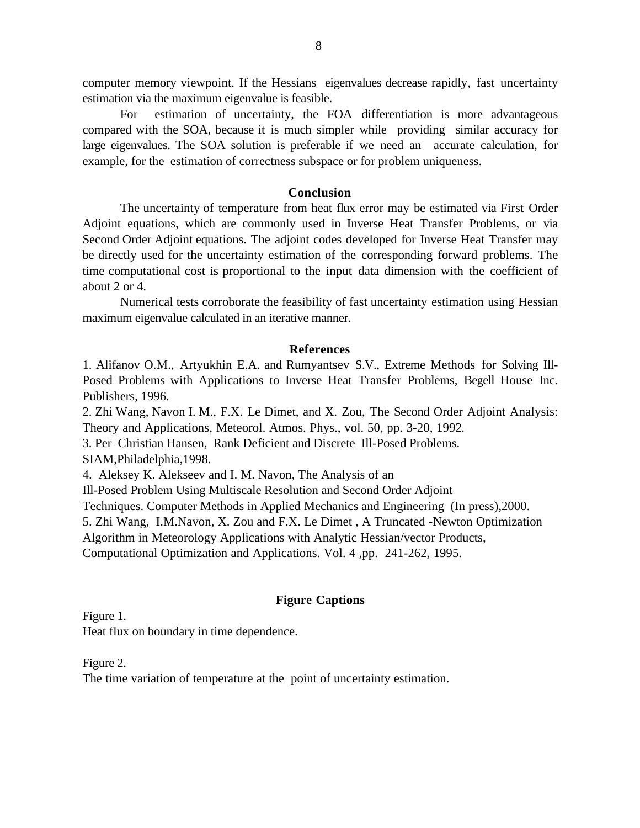computer memory viewpoint. If the Hessian $\ddot{\Theta}$  eigenvalues decrease rapidly, fast uncertainty estimation via the maximum eigenvalue is feasible.

For estimation of uncertainty, the FOA differentiation is more advantageous compared with the SOA, because it is much simpler while providing similar accuracy for large eigenvalues. The SOA solution is preferable if we need an accurate calculation, for example, for the estimation of correctness subspace or for problem uniqueness.

### **Conclusion**

The uncertainty of temperature from heat flux error may be estimated via First Order Adjoint equations, which are commonly used in Inverse Heat Transfer Problems, or via Second Order Adjoint equations. The adjoint codes developed for Inverse Heat Transfer may be directly used for the uncertainty estimation of the corresponding forward problems. The time computational cost is proportional to the input data dimension with the coefficient of about 2 or 4.

Numerical tests corroborate the feasibility of fast uncertainty estimation using Hessian maximum eigenvalue calculated in an iterative manner.

## **References**

1. Alifanov O.M., Artyukhin E.A. and Rumyantsev S.V., Extreme Methods for Solving Ill-Posed Problems with Applications to Inverse Heat Transfer Problems, Begell House Inc. Publishers, 1996.

2. Zhi Wang, Navon I. M., F.X. Le Dimet, and X. Zou, The Second Order Adjoint Analysis: Theory and Applications, Meteorol. Atmos. Phys., vol. 50, pp. 3-20, 1992*.*

3. Per Christian Hansen, Rank Deficient and Discrete Ill-Posed Problems.

SIAM,Philadelphia,1998.

4. Aleksey K. Alekseev and I. M. Navon, The Analysis of an

Ill-Posed Problem Using Multiscale Resolution and Second Order Adjoint

Techniques. Computer Methods in Applied Mechanics and Engineering (In press),2000.

5. Zhi Wang, I.M.Navon, X. Zou and F.X. Le Dimet , A Truncated -Newton Optimization

Algorithm in Meteorology Applications with Analytic Hessian/vector Products,

Computational Optimization and Applications. Vol. 4 ,pp. 241-262, 1995.

# **Figure Captions**

Figure 1.

Heat flux on boundary in time dependence.

Figure 2.

The time variation of temperature at the point of uncertainty estimation.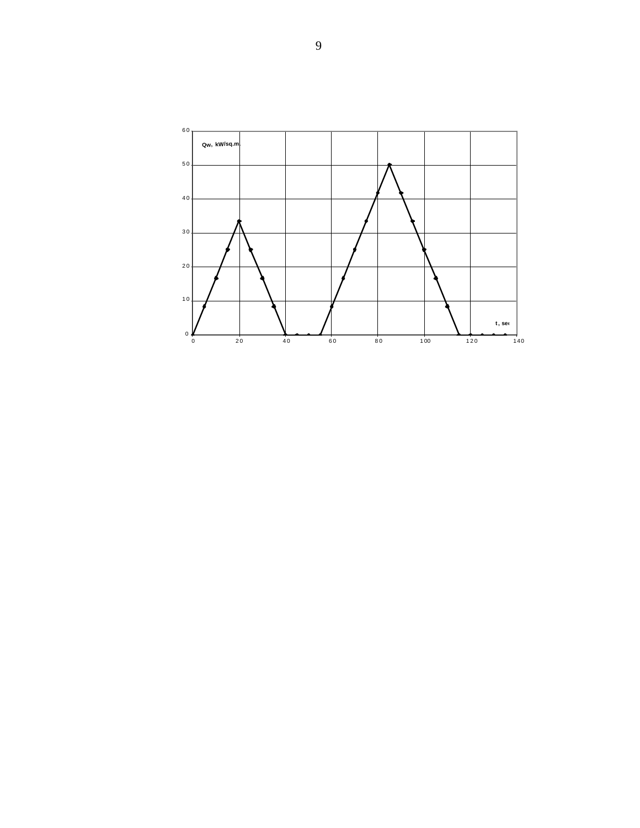